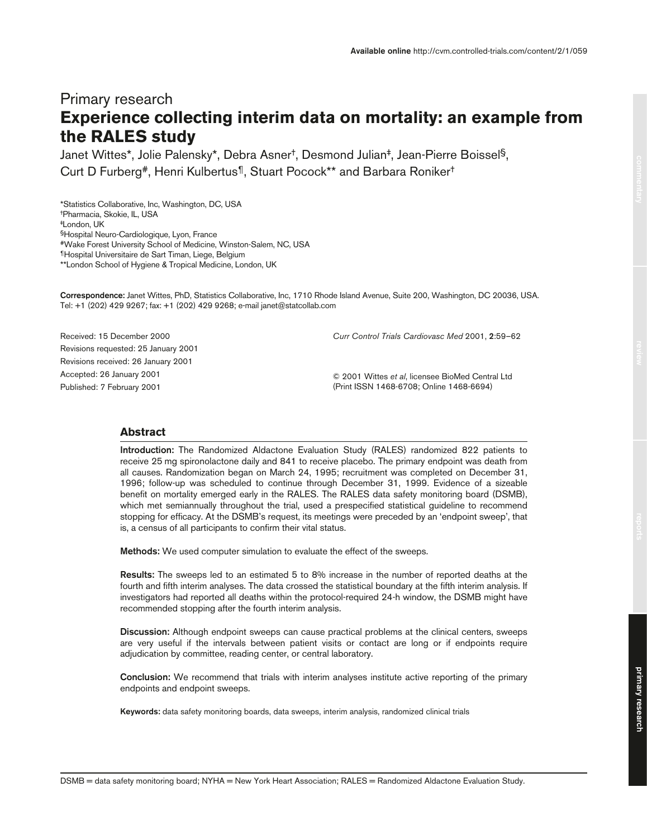# Primary research **Experience collecting interim data on mortality: an example from the RALES study**

Janet Wittes\*, Jolie Palensky\*, Debra Asner†, Desmond Julian‡, Jean-Pierre Boissel§, Curt D Furberg#, Henri Kulbertus¶, Stuart Pocock\*\* and Barbara Roniker†

\*Statistics Collaborative, Inc, Washington, DC, USA †Pharmacia, Skokie, IL, USA ‡London, UK §Hospital Neuro-Cardiologique, Lyon, France #Wake Forest University School of Medicine, Winston-Salem, NC, USA ¶Hospital Universitaire de Sart Timan, Liege, Belgium \*\*London School of Hygiene & Tropical Medicine, London, UK

**Correspondence:** Janet Wittes, PhD, Statistics Collaborative, Inc, 1710 Rhode Island Avenue, Suite 200, Washington, DC 20036, USA. Tel: +1 (202) 429 9267; fax: +1 (202) 429 9268; e-mail janet@statcollab.com

Received: 15 December 2000 Revisions requested: 25 January 2001 Revisions received: 26 January 2001 Accepted: 26 January 2001 Published: 7 February 2001

*Curr Control Trials Cardiovasc Med* 2001, **2**:59–62

© 2001 Wittes *et al*, licensee BioMed Central Ltd (Print ISSN 1468-6708; Online 1468-6694)

# **Abstract**

**Introduction:** The Randomized Aldactone Evaluation Study (RALES) randomized 822 patients to receive 25 mg spironolactone daily and 841 to receive placebo. The primary endpoint was death from all causes. Randomization began on March 24, 1995; recruitment was completed on December 31, 1996; follow-up was scheduled to continue through December 31, 1999. Evidence of a sizeable benefit on mortality emerged early in the RALES. The RALES data safety monitoring board (DSMB), which met semiannually throughout the trial, used a prespecified statistical guideline to recommend stopping for efficacy. At the DSMB's request, its meetings were preceded by an 'endpoint sweep', that is, a census of all participants to confirm their vital status.

**Methods:** We used computer simulation to evaluate the effect of the sweeps.

**Results:** The sweeps led to an estimated 5 to 8% increase in the number of reported deaths at the fourth and fifth interim analyses. The data crossed the statistical boundary at the fifth interim analysis. If investigators had reported all deaths within the protocol-required 24-h window, the DSMB might have recommended stopping after the fourth interim analysis.

**Discussion:** Although endpoint sweeps can cause practical problems at the clinical centers, sweeps are very useful if the intervals between patient visits or contact are long or if endpoints require adjudication by committee, reading center, or central laboratory.

**Conclusion:** We recommend that trials with interim analyses institute active reporting of the primary endpoints and endpoint sweeps.

**Keywords:** data safety monitoring boards, data sweeps, interim analysis, randomized clinical trials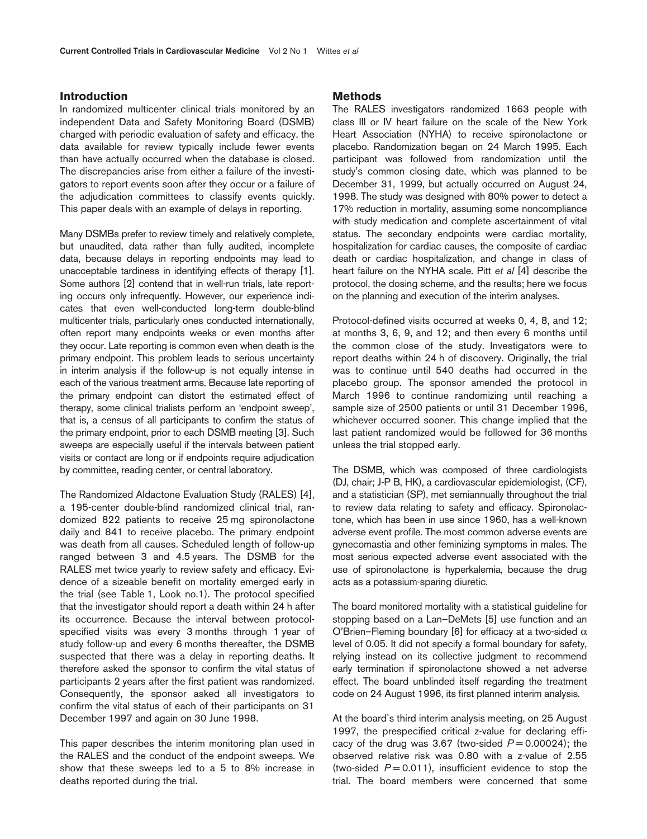# **Introduction**

In randomized multicenter clinical trials monitored by an independent Data and Safety Monitoring Board (DSMB) charged with periodic evaluation of safety and efficacy, the data available for review typically include fewer events than have actually occurred when the database is closed. The discrepancies arise from either a failure of the investigators to report events soon after they occur or a failure of the adjudication committees to classify events quickly. This paper deals with an example of delays in reporting.

Many DSMBs prefer to review timely and relatively complete, but unaudited, data rather than fully audited, incomplete data, because delays in reporting endpoints may lead to unacceptable tardiness in identifying effects of therapy [1]. Some authors [2] contend that in well-run trials, late reporting occurs only infrequently. However, our experience indicates that even well-conducted long-term double-blind multicenter trials, particularly ones conducted internationally, often report many endpoints weeks or even months after they occur. Late reporting is common even when death is the primary endpoint. This problem leads to serious uncertainty in interim analysis if the follow-up is not equally intense in each of the various treatment arms. Because late reporting of the primary endpoint can distort the estimated effect of therapy, some clinical trialists perform an 'endpoint sweep', that is, a census of all participants to confirm the status of the primary endpoint, prior to each DSMB meeting [3]. Such sweeps are especially useful if the intervals between patient visits or contact are long or if endpoints require adjudication by committee, reading center, or central laboratory.

The Randomized Aldactone Evaluation Study (RALES) [4], a 195-center double-blind randomized clinical trial, randomized 822 patients to receive 25 mg spironolactone daily and 841 to receive placebo. The primary endpoint was death from all causes. Scheduled length of follow-up ranged between 3 and 4.5 years. The DSMB for the RALES met twice yearly to review safety and efficacy. Evidence of a sizeable benefit on mortality emerged early in the trial (see Table 1, Look no.1). The protocol specified that the investigator should report a death within 24 h after its occurrence. Because the interval between protocolspecified visits was every 3 months through 1 year of study follow-up and every 6 months thereafter, the DSMB suspected that there was a delay in reporting deaths. It therefore asked the sponsor to confirm the vital status of participants 2 years after the first patient was randomized. Consequently, the sponsor asked all investigators to confirm the vital status of each of their participants on 31 December 1997 and again on 30 June 1998.

This paper describes the interim monitoring plan used in the RALES and the conduct of the endpoint sweeps. We show that these sweeps led to a 5 to 8% increase in deaths reported during the trial.

#### **Methods**

The RALES investigators randomized 1663 people with class III or IV heart failure on the scale of the New York Heart Association (NYHA) to receive spironolactone or placebo. Randomization began on 24 March 1995. Each participant was followed from randomization until the study's common closing date, which was planned to be December 31, 1999, but actually occurred on August 24, 1998. The study was designed with 80% power to detect a 17% reduction in mortality, assuming some noncompliance with study medication and complete ascertainment of vital status. The secondary endpoints were cardiac mortality, hospitalization for cardiac causes, the composite of cardiac death or cardiac hospitalization, and change in class of heart failure on the NYHA scale. Pitt *et al* [4] describe the protocol, the dosing scheme, and the results; here we focus on the planning and execution of the interim analyses.

Protocol-defined visits occurred at weeks 0, 4, 8, and 12; at months 3, 6, 9, and 12; and then every 6 months until the common close of the study. Investigators were to report deaths within 24 h of discovery. Originally, the trial was to continue until 540 deaths had occurred in the placebo group. The sponsor amended the protocol in March 1996 to continue randomizing until reaching a sample size of 2500 patients or until 31 December 1996, whichever occurred sooner. This change implied that the last patient randomized would be followed for 36 months unless the trial stopped early.

The DSMB, which was composed of three cardiologists (DJ, chair; J-P B, HK), a cardiovascular epidemiologist, (CF), and a statistician (SP), met semiannually throughout the trial to review data relating to safety and efficacy. Spironolactone, which has been in use since 1960, has a well-known adverse event profile. The most common adverse events are gynecomastia and other feminizing symptoms in males. The most serious expected adverse event associated with the use of spironolactone is hyperkalemia, because the drug acts as a potassium-sparing diuretic.

The board monitored mortality with a statistical guideline for stopping based on a Lan–DeMets [5] use function and an O'Brien–Fleming boundary [6] for efficacy at a two-sided  $\alpha$ level of 0.05. It did not specify a formal boundary for safety, relying instead on its collective judgment to recommend early termination if spironolactone showed a net adverse effect. The board unblinded itself regarding the treatment code on 24 August 1996, its first planned interim analysis.

At the board's third interim analysis meeting, on 25 August 1997, the prespecified critical z-value for declaring efficacy of the drug was 3.67 (two-sided  $P = 0.00024$ ); the observed relative risk was 0.80 with a z-value of 2.55 (two-sided  $P = 0.011$ ), insufficient evidence to stop the trial. The board members were concerned that some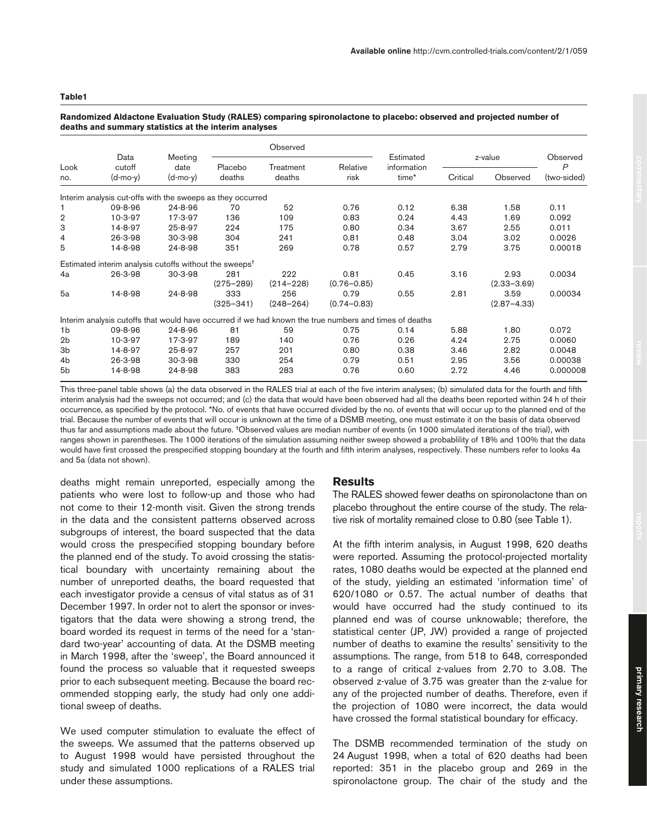#### **Table1**

# Observed Data Meeting Estimated z-value Observed Look cutoff date Placebo Treatment Relative information *P*  no. (d-mo-y) (d-mo-y) deaths deaths risk time\* Critical Observed (two-sided) Interim analysis cut-offs with the sweeps as they occurred 1 09-8-96 24-8-96 70 52 0.76 0.12 6.38 1.58 0.11 2 10-3-97 17-3-97 136 109 0.83 0.24 4.43 1.69 0.092 3 14-8-97 25-8-97 224 175 0.80 0.34 3.67 2.55 0.011 4 26-3-98 30-3-98 304 241 0.81 0.48 3.04 3.02 0.0026 5 14-8-98 24-8-98 351 269 0.78 0.57 2.79 3.75 0.00018 Estimated interim analysis cutoffs without the sweeps† 4a 26-3-98 30-3-98 281 222 0.81 0.45 3.16 2.93 0.0034 (275–289) (214–228) (0.76–0.85) (2.33–3.69) 5a 14-8-98 24-8-98 333 256 0.79 0.55 2.81 3.59 0.00034 (325–341) (248–264) (0.74–0.83) (2.87–4.33) Interim analysis cutoffs that would have occurred if we had known the true numbers and times of deaths 1b 09-8-96 24-8-96 81 59 0.75 0.14 5.88 1.80 0.072 2b 10-3-97 17-3-97 189 140 0.76 0.26 4.24 2.75 0.0060 3b 14-8-97 25-8-97 257 201 0.80 0.38 3.46 2.82 0.0048 4b 26-3-98 30-3-98 330 254 0.79 0.51 2.95 3.56 0.00038 5b 14-8-98 24-8-98 383 283 0.76 0.60 2.72 4.46 0.000008

#### **Randomized Aldactone Evaluation Study (RALES) comparing spironolactone to placebo: observed and projected number of deaths and summary statistics at the interim analyses**

This three-panel table shows (a) the data observed in the RALES trial at each of the five interim analyses; (b) simulated data for the fourth and fifth interim analysis had the sweeps not occurred; and (c) the data that would have been observed had all the deaths been reported within 24 h of their occurrence, as specified by the protocol. \*No. of events that have occurred divided by the no. of events that will occur up to the planned end of the trial. Because the number of events that will occur is unknown at the time of a DSMB meeting, one must estimate it on the basis of data observed thus far and assumptions made about the future. †Observed values are median number of events (in 1000 simulated iterations of the trial), with ranges shown in parentheses. The 1000 iterations of the simulation assuming neither sweep showed a probablility of 18% and 100% that the data would have first crossed the prespecified stopping boundary at the fourth and fifth interim analyses, respectively. These numbers refer to looks 4a and 5a (data not shown).

deaths might remain unreported, especially among the patients who were lost to follow-up and those who had not come to their 12-month visit. Given the strong trends in the data and the consistent patterns observed across subgroups of interest, the board suspected that the data would cross the prespecified stopping boundary before the planned end of the study. To avoid crossing the statistical boundary with uncertainty remaining about the number of unreported deaths, the board requested that each investigator provide a census of vital status as of 31 December 1997. In order not to alert the sponsor or investigators that the data were showing a strong trend, the board worded its request in terms of the need for a 'standard two-year' accounting of data. At the DSMB meeting in March 1998, after the 'sweep', the Board announced it found the process so valuable that it requested sweeps prior to each subsequent meeting. Because the board recommended stopping early, the study had only one additional sweep of deaths.

We used computer stimulation to evaluate the effect of the sweeps. We assumed that the patterns observed up to August 1998 would have persisted throughout the study and simulated 1000 replications of a RALES trial under these assumptions.

# **Results**

The RALES showed fewer deaths on spironolactone than on placebo throughout the entire course of the study. The relative risk of mortality remained close to 0.80 (see Table 1).

At the fifth interim analysis, in August 1998, 620 deaths were reported. Assuming the protocol-projected mortality rates, 1080 deaths would be expected at the planned end of the study, yielding an estimated 'information time' of 620/1080 or 0.57. The actual number of deaths that would have occurred had the study continued to its planned end was of course unknowable; therefore, the statistical center (JP, JW) provided a range of projected number of deaths to examine the results' sensitivity to the assumptions. The range, from 518 to 648, corresponded to a range of critical z-values from 2.70 to 3.08. The observed z-value of 3.75 was greater than the z-value for any of the projected number of deaths. Therefore, even if the projection of 1080 were incorrect, the data would have crossed the formal statistical boundary for efficacy.

The DSMB recommended termination of the study on 24 August 1998, when a total of 620 deaths had been reported: 351 in the placebo group and 269 in the spironolactone group. The chair of the study and the